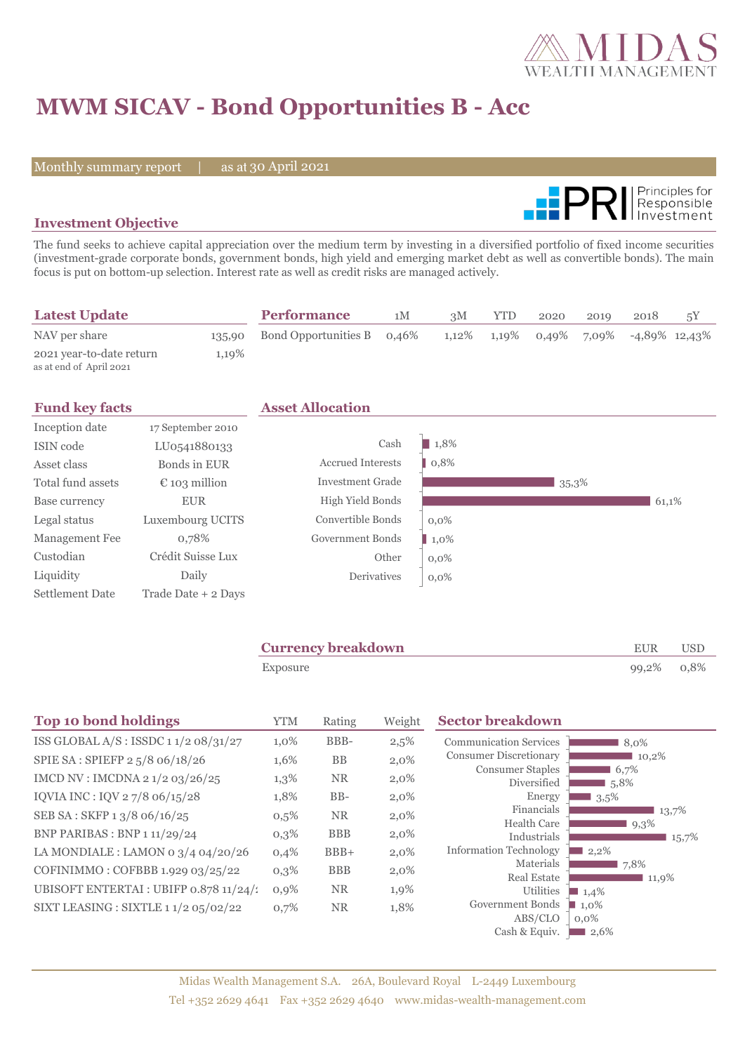

# **MWM SICAV - Bond Opportunities B - Acc**

Monthly summary report | as at 30 April 2021



### **Investment Objective**

The fund seeks to achieve capital appreciation over the medium term by investing in a diversified portfolio of fixed income securities (investment-grade corporate bonds, government bonds, high yield and emerging market debt as well as convertible bonds). The main focus is put on bottom-up selection. Interest rate as well as credit risks are managed actively.

| <b>Latest Update</b>                                |       | <b>Performance</b>                | 1M | 3M | YTD | 2020 | 2019 | 2018                                                    | 5Y |
|-----------------------------------------------------|-------|-----------------------------------|----|----|-----|------|------|---------------------------------------------------------|----|
| NAV per share                                       |       | 135,90 Bond Opportunities B 0,46% |    |    |     |      |      | $1,12\%$ $1,19\%$ $0,49\%$ $7,09\%$ $-4,89\%$ $12,43\%$ |    |
| 2021 year-to-date return<br>as at end of April 2021 | 1,19% |                                   |    |    |     |      |      |                                                         |    |

| <b>Fund key facts</b>  |                        | <b>Asset Allocation</b>  |                     |       |       |
|------------------------|------------------------|--------------------------|---------------------|-------|-------|
| Inception date         | 17 September 2010      |                          |                     |       |       |
| ISIN code              | LU0541880133           | Cash                     | $\blacksquare$ 1,8% |       |       |
| Asset class            | Bonds in EUR           | <b>Accrued Interests</b> | 0,8%                |       |       |
| Total fund assets      | $\epsilon$ 103 million | <b>Investment Grade</b>  |                     | 35,3% |       |
| Base currency          | <b>EUR</b>             | High Yield Bonds         |                     |       | 61,1% |
| Legal status           | Luxembourg UCITS       | Convertible Bonds        | $0.0\%$             |       |       |
| Management Fee         | 0,78%                  | Government Bonds         | $1,0\%$             |       |       |
| Custodian              | Crédit Suisse Lux      | Other                    | $0.0\%$             |       |       |
| Liquidity              | Daily                  | Derivatives              | $0,0\%$             |       |       |
| <b>Settlement Date</b> | Trade Date + 2 Days    |                          |                     |       |       |

| <b>Currency breakdown</b> | <b>EUR</b> | <b>USD</b> |
|---------------------------|------------|------------|
| Exposure                  | 99,2% 0,8% |            |

| <b>Top 10 bond holdings</b>            | <b>YTM</b> | Rating     | Weight  | <b>Sector breakdown</b>                |                     |
|----------------------------------------|------------|------------|---------|----------------------------------------|---------------------|
| ISS GLOBAL $A/S$ : ISSDC 11/2 08/31/27 | 1,0%       | BBB-       | 2,5%    | <b>Communication Services</b>          | 8.0%                |
| SPIE SA: SPIEFP 2 5/8 06/18/26         | 1,6%       | <b>BB</b>  | 2,0%    | <b>Consumer Discretionary</b>          | 10,2%               |
| IMCD NV : IMCDNA 2 1/2 03/26/25        | 1,3%       | <b>NR</b>  | $2,0\%$ | <b>Consumer Staples</b><br>Diversified | 6,7%<br>5,8%        |
| IQVIA INC: IQV 27/8 06/15/28           | 1,8%       | $BB-$      | 2,0%    | Energy                                 | $3,5\%$             |
| SEB SA: SKFP 13/8 06/16/25             | 0,5%       | <b>NR</b>  | $2,0\%$ | Financials                             | 13,7%               |
| <b>BNP PARIBAS : BNP 1 11/29/24</b>    | $0,3\%$    | <b>BBB</b> | $2,0\%$ | <b>Health Care</b><br>Industrials      | $9,3\%$<br>15,7%    |
| LA MONDIALE : LAMON 0 $3/4$ 04/20/26   | 0,4%       | $BBB+$     | 2,0%    | <b>Information Technology</b>          | 2,2%                |
| COFINIMMO: COFBBB 1.929 03/25/22       | $0,3\%$    | <b>BBB</b> | 2,0%    | Materials                              | 7,8%                |
| UBISOFT ENTERTAI : UBIFP 0.878 11/24/1 | 0,9%       | <b>NR</b>  | 1,9%    | Real Estate                            | 11,9%               |
|                                        |            |            |         | Utilities                              | $\blacksquare$ 1,4% |
| SIXT LEASING : SIXTLE 1 1/2 05/02/22   | 0,7%       | <b>NR</b>  | 1,8%    | Government Bonds                       | $\blacksquare$ 1,0% |
|                                        |            |            |         | ABS/CLO                                | $0.0\%$             |
|                                        |            |            |         | Cash & Equiv.                          | 12,6%               |